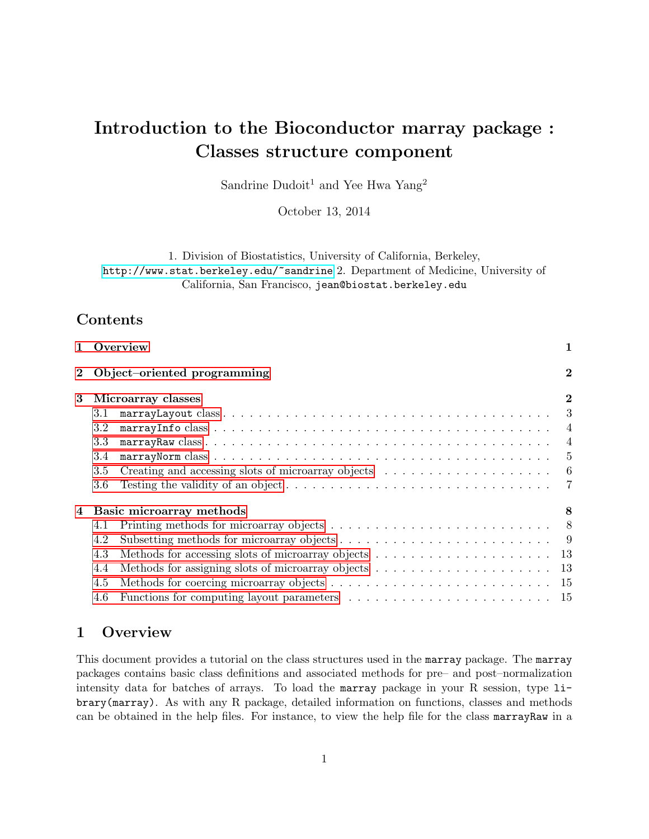# Introduction to the Bioconductor marray package : Classes structure component

Sandrine Dudoit<sup>1</sup> and Yee Hwa Yang<sup>2</sup>

October 13, 2014

1. Division of Biostatistics, University of California, Berkeley,

<http://www.stat.berkeley.edu/~sandrine> 2. Department of Medicine, University of California, San Francisco, jean@biostat.berkeley.edu

# Contents

| $\mathbf{1}$ | Overview                                                                                                          | 1              |
|--------------|-------------------------------------------------------------------------------------------------------------------|----------------|
|              | Object-oriented programming                                                                                       | $\bf{2}$       |
| 3            | Microarray classes                                                                                                | $\bf{2}$       |
|              | 3.1                                                                                                               | 3              |
|              | 3.2                                                                                                               | $\overline{4}$ |
|              | 3.3                                                                                                               | $\overline{4}$ |
|              | 3.4                                                                                                               | 5              |
|              | 3.5                                                                                                               | - 6            |
|              | 3.6                                                                                                               | $\overline{7}$ |
|              | Basic microarray methods                                                                                          | 8              |
|              | Printing methods for microarray objects $\ldots \ldots \ldots \ldots \ldots \ldots \ldots \ldots \ldots$ 8<br>4.1 |                |
|              | 4.2                                                                                                               |                |
|              | 4.3                                                                                                               |                |
|              | 4.4                                                                                                               |                |
|              | 4.5                                                                                                               |                |
|              | 4.6                                                                                                               |                |

# <span id="page-0-0"></span>1 Overview

This document provides a tutorial on the class structures used in the marray package. The marray packages contains basic class definitions and associated methods for pre– and post–normalization intensity data for batches of arrays. To load the marray package in your R session, type library(marray). As with any R package, detailed information on functions, classes and methods can be obtained in the help files. For instance, to view the help file for the class marrayRaw in a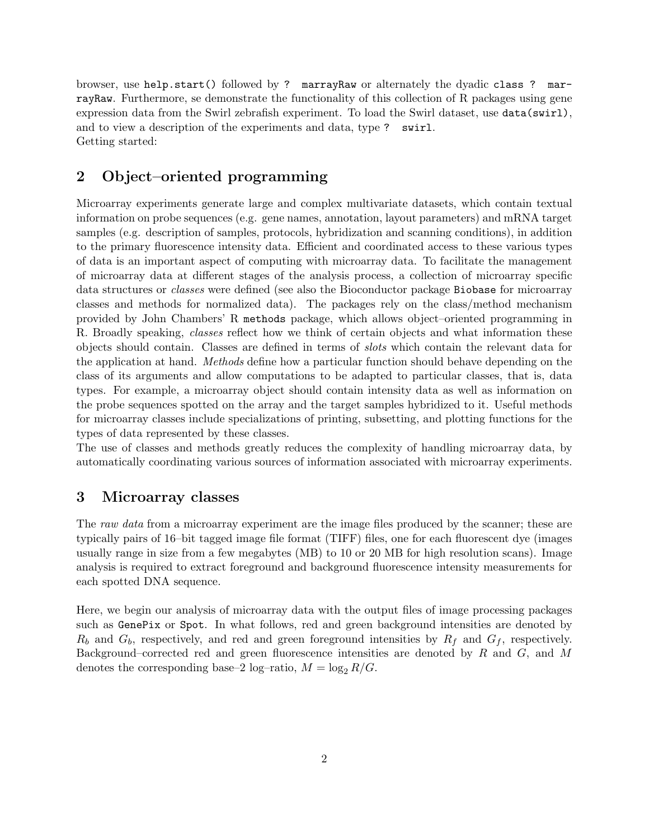browser, use help.start() followed by ? marrayRaw or alternately the dyadic class ? marrayRaw. Furthermore, se demonstrate the functionality of this collection of R packages using gene expression data from the Swirl zebrafish experiment. To load the Swirl dataset, use data(swirl), and to view a description of the experiments and data, type ? swirl. Getting started:

# <span id="page-1-0"></span>2 Object–oriented programming

Microarray experiments generate large and complex multivariate datasets, which contain textual information on probe sequences (e.g. gene names, annotation, layout parameters) and mRNA target samples (e.g. description of samples, protocols, hybridization and scanning conditions), in addition to the primary fluorescence intensity data. Efficient and coordinated access to these various types of data is an important aspect of computing with microarray data. To facilitate the management of microarray data at different stages of the analysis process, a collection of microarray specific data structures or classes were defined (see also the Bioconductor package Biobase for microarray classes and methods for normalized data). The packages rely on the class/method mechanism provided by John Chambers' R methods package, which allows object–oriented programming in R. Broadly speaking, *classes* reflect how we think of certain objects and what information these objects should contain. Classes are defined in terms of slots which contain the relevant data for the application at hand. Methods define how a particular function should behave depending on the class of its arguments and allow computations to be adapted to particular classes, that is, data types. For example, a microarray object should contain intensity data as well as information on the probe sequences spotted on the array and the target samples hybridized to it. Useful methods for microarray classes include specializations of printing, subsetting, and plotting functions for the types of data represented by these classes.

The use of classes and methods greatly reduces the complexity of handling microarray data, by automatically coordinating various sources of information associated with microarray experiments.

### <span id="page-1-1"></span>3 Microarray classes

The raw data from a microarray experiment are the image files produced by the scanner; these are typically pairs of 16–bit tagged image file format (TIFF) files, one for each fluorescent dye (images usually range in size from a few megabytes (MB) to 10 or 20 MB for high resolution scans). Image analysis is required to extract foreground and background fluorescence intensity measurements for each spotted DNA sequence.

Here, we begin our analysis of microarray data with the output files of image processing packages such as GenePix or Spot. In what follows, red and green background intensities are denoted by  $R_b$  and  $G_b$ , respectively, and red and green foreground intensities by  $R_f$  and  $G_f$ , respectively. Background–corrected red and green fluorescence intensities are denoted by R and G, and M denotes the corresponding base–2 log–ratio,  $M = \log_2 R/G$ .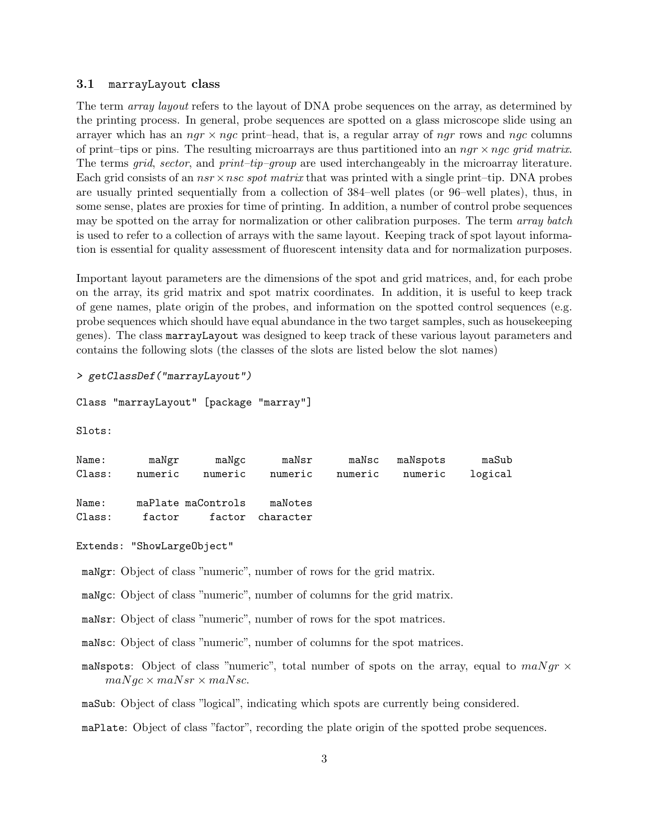#### <span id="page-2-0"></span>3.1 marrayLayout class

The term *array layout* refers to the layout of DNA probe sequences on the array, as determined by the printing process. In general, probe sequences are spotted on a glass microscope slide using an arrayer which has an  $ngr \times ngc$  print–head, that is, a regular array of ngr rows and ngc columns of print–tips or pins. The resulting microarrays are thus partitioned into an  $ngr \times ngc$  grid matrix. The terms *grid, sector,* and *print–tip–group* are used interchangeably in the microarray literature. Each grid consists of an  $nsr \times nsc$  spot matrix that was printed with a single print–tip. DNA probes are usually printed sequentially from a collection of 384–well plates (or 96–well plates), thus, in some sense, plates are proxies for time of printing. In addition, a number of control probe sequences may be spotted on the array for normalization or other calibration purposes. The term array batch is used to refer to a collection of arrays with the same layout. Keeping track of spot layout information is essential for quality assessment of fluorescent intensity data and for normalization purposes.

Important layout parameters are the dimensions of the spot and grid matrices, and, for each probe on the array, its grid matrix and spot matrix coordinates. In addition, it is useful to keep track of gene names, plate origin of the probes, and information on the spotted control sequences (e.g. probe sequences which should have equal abundance in the two target samples, such as housekeeping genes). The class marrayLayout was designed to keep track of these various layout parameters and contains the following slots (the classes of the slots are listed below the slot names)

```
> getClassDef("marrayLayout")
```

```
Class "marrayLayout" [package "marray"]
```
Slots:

| maNgr | maNgc   |                                         |                                        |       | maSub                             |
|-------|---------|-----------------------------------------|----------------------------------------|-------|-----------------------------------|
|       |         |                                         |                                        |       | logical                           |
|       |         |                                         |                                        |       |                                   |
|       |         |                                         |                                        |       |                                   |
|       |         |                                         |                                        |       |                                   |
|       | numeric | numeric<br>maPlate maControls<br>factor | numeric<br>maNotes<br>factor character | maNsr | maNsc maNspots<br>numeric numeric |

```
Extends: "ShowLargeObject"
```
maNgr: Object of class "numeric", number of rows for the grid matrix.

maNgc: Object of class "numeric", number of columns for the grid matrix.

maNsr: Object of class "numeric", number of rows for the spot matrices.

maNsc: Object of class "numeric", number of columns for the spot matrices.

maNspots: Object of class "numeric", total number of spots on the array, equal to  $m a N g r \times$  $maNgc \times maNsr \times maNsc.$ 

maSub: Object of class "logical", indicating which spots are currently being considered.

maPlate: Object of class "factor", recording the plate origin of the spotted probe sequences.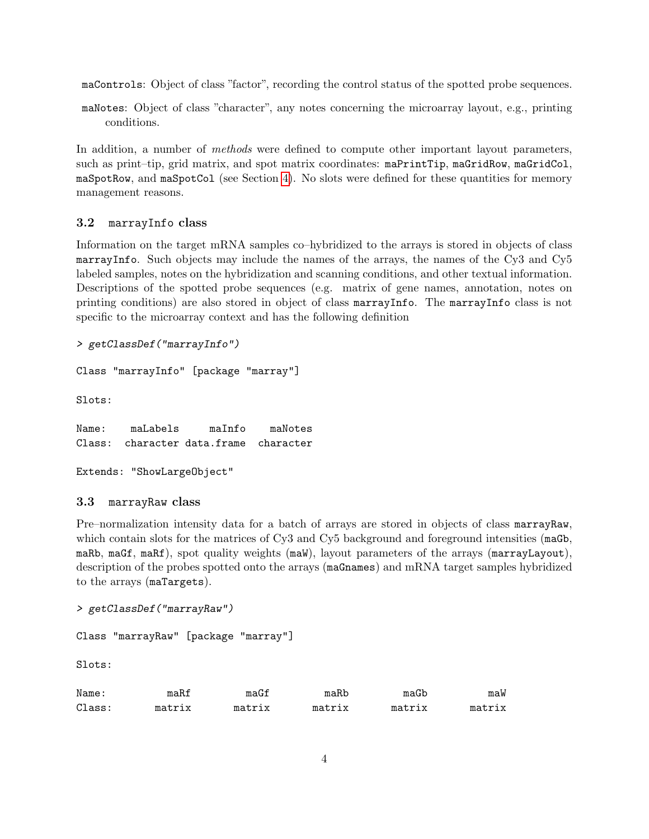maControls: Object of class "factor", recording the control status of the spotted probe sequences.

maNotes: Object of class "character", any notes concerning the microarray layout, e.g., printing conditions.

In addition, a number of *methods* were defined to compute other important layout parameters, such as print–tip, grid matrix, and spot matrix coordinates: maPrintTip, maGridRow, maGridCol, maSpotRow, and maSpotCol (see Section [4\)](#page-7-0). No slots were defined for these quantities for memory management reasons.

### <span id="page-3-0"></span>3.2 marrayInfo class

Information on the target mRNA samples co–hybridized to the arrays is stored in objects of class marrayInfo. Such objects may include the names of the arrays, the names of the Cy3 and Cy5 labeled samples, notes on the hybridization and scanning conditions, and other textual information. Descriptions of the spotted probe sequences (e.g. matrix of gene names, annotation, notes on printing conditions) are also stored in object of class marrayInfo. The marrayInfo class is not specific to the microarray context and has the following definition

```
> getClassDef("marrayInfo")
```

```
Class "marrayInfo" [package "marray"]
```
Slots:

Name: maLabels maInfo maNotes Class: character data.frame character

Extends: "ShowLargeObject"

### <span id="page-3-1"></span>3.3 marrayRaw class

Pre–normalization intensity data for a batch of arrays are stored in objects of class marrayRaw, which contain slots for the matrices of Cy3 and Cy5 background and foreground intensities (maGb, maRb, maGf, maRf), spot quality weights (maW), layout parameters of the arrays (marrayLayout), description of the probes spotted onto the arrays (maGnames) and mRNA target samples hybridized to the arrays (maTargets).

```
> getClassDef("marrayRaw")
```

```
Class "marrayRaw" [package "marray"]
```
Slots:

| Name:  | maRf   | maGf   | maRb   | maGb   | maW    |
|--------|--------|--------|--------|--------|--------|
| Class: | matrix | matrix | matrix | matrix | matrix |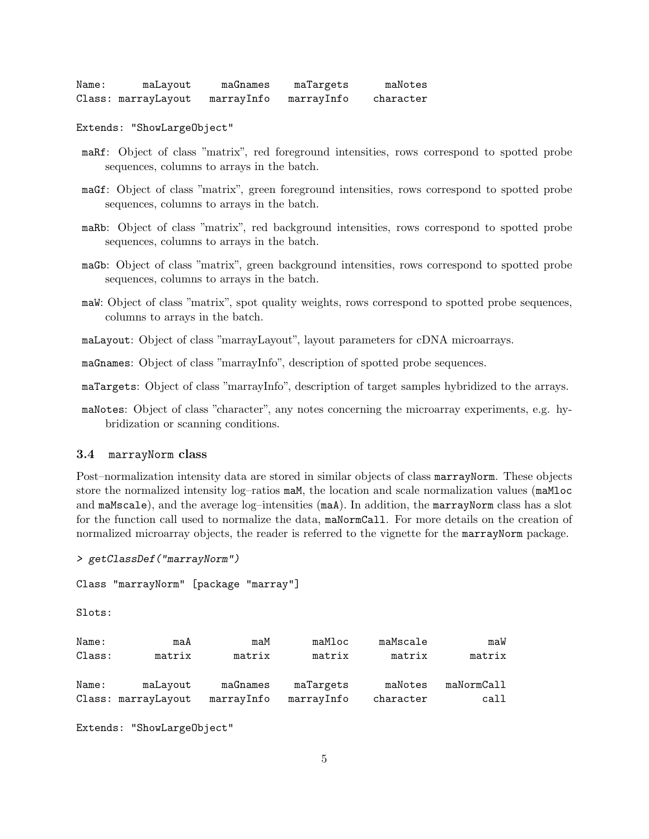| Name: | maLayout            | maGnames   | maTargets  | maNotes   |
|-------|---------------------|------------|------------|-----------|
|       | Class: marrayLayout | marrayInfo | marrayInfo | character |

Extends: "ShowLargeObject"

- maRf: Object of class "matrix", red foreground intensities, rows correspond to spotted probe sequences, columns to arrays in the batch.
- maGf: Object of class "matrix", green foreground intensities, rows correspond to spotted probe sequences, columns to arrays in the batch.
- maRb: Object of class "matrix", red background intensities, rows correspond to spotted probe sequences, columns to arrays in the batch.
- maGb: Object of class "matrix", green background intensities, rows correspond to spotted probe sequences, columns to arrays in the batch.
- maW: Object of class "matrix", spot quality weights, rows correspond to spotted probe sequences, columns to arrays in the batch.
- maLayout: Object of class "marrayLayout", layout parameters for cDNA microarrays.

maGnames: Object of class "marrayInfo", description of spotted probe sequences.

maTargets: Object of class "marrayInfo", description of target samples hybridized to the arrays.

maNotes: Object of class "character", any notes concerning the microarray experiments, e.g. hybridization or scanning conditions.

#### <span id="page-4-0"></span>3.4 marrayNorm class

Post–normalization intensity data are stored in similar objects of class marrayNorm. These objects store the normalized intensity log–ratios maM, the location and scale normalization values (maMloc and maMscale), and the average log–intensities (maA). In addition, the marrayNorm class has a slot for the function call used to normalize the data, maNormCall. For more details on the creation of normalized microarray objects, the reader is referred to the vignette for the marrayNorm package.

```
> getClassDef("marrayNorm")
Class "marrayNorm" [package "marray"]
Slots:
Name: maA maM maMloc maMscale maW
Class: matrix matrix matrix matrix matrix
Name: maLayout maGnames maTargets maNotes maNormCall
Class: marrayLayout marrayInfo marrayInfo character call
```
Extends: "ShowLargeObject"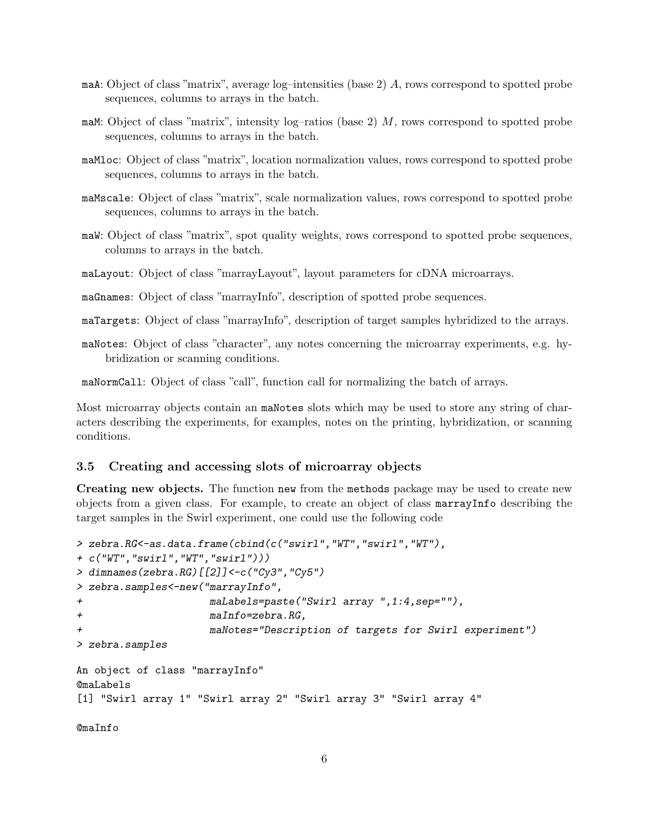- maA: Object of class "matrix", average log–intensities (base 2) A, rows correspond to spotted probe sequences, columns to arrays in the batch.
- maM: Object of class "matrix", intensity log–ratios (base 2) M, rows correspond to spotted probe sequences, columns to arrays in the batch.
- maMloc: Object of class "matrix", location normalization values, rows correspond to spotted probe sequences, columns to arrays in the batch.
- maMscale: Object of class "matrix", scale normalization values, rows correspond to spotted probe sequences, columns to arrays in the batch.
- maW: Object of class "matrix", spot quality weights, rows correspond to spotted probe sequences, columns to arrays in the batch.
- maLayout: Object of class "marrayLayout", layout parameters for cDNA microarrays.
- maGnames: Object of class "marrayInfo", description of spotted probe sequences.

maTargets: Object of class "marrayInfo", description of target samples hybridized to the arrays.

maNotes: Object of class "character", any notes concerning the microarray experiments, e.g. hybridization or scanning conditions.

maNormCall: Object of class "call", function call for normalizing the batch of arrays.

Most microarray objects contain an maNotes slots which may be used to store any string of characters describing the experiments, for examples, notes on the printing, hybridization, or scanning conditions.

#### <span id="page-5-0"></span>3.5 Creating and accessing slots of microarray objects

Creating new objects. The function new from the methods package may be used to create new objects from a given class. For example, to create an object of class marrayInfo describing the target samples in the Swirl experiment, one could use the following code

```
> zebra.RG<-as.data.frame(cbind(c("swirl","WT","swirl","WT"),
+ c("WT","swirl","WT","swirl")))
> dimnames(zebra.RG)[[2]]<-c("Cy3","Cy5")
> zebra.samples<-new("marrayInfo",
+ maLabels=paste("Swirl array ",1:4,sep=""),
+ maInfo=zebra.RG,
+ maNotes="Description of targets for Swirl experiment")
> zebra.samples
An object of class "marrayInfo"
@maLabels
[1] "Swirl array 1" "Swirl array 2" "Swirl array 3" "Swirl array 4"
@maInfo
```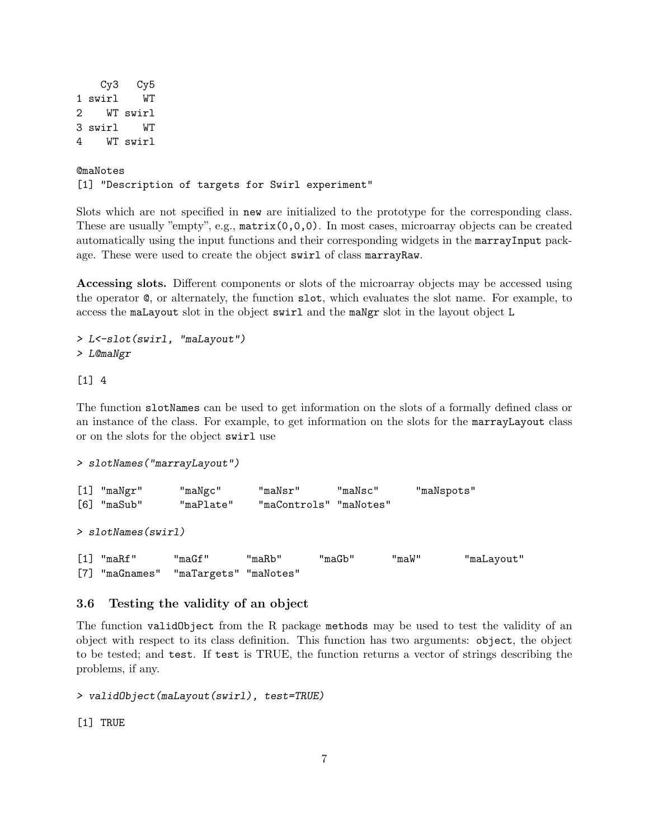```
Cy3 Cy5
1 swirl WT
2 WT swirl
3 swirl WT
4 WT swirl
@maNotes
```
[1] "Description of targets for Swirl experiment"

Slots which are not specified in new are initialized to the prototype for the corresponding class. These are usually "empty", e.g., matrix(0,0,0). In most cases, microarray objects can be created automatically using the input functions and their corresponding widgets in the marrayInput package. These were used to create the object swirl of class marrayRaw.

Accessing slots. Different components or slots of the microarray objects may be accessed using the operator @, or alternately, the function slot, which evaluates the slot name. For example, to access the maLayout slot in the object swirl and the maNgr slot in the layout object L

```
> L<-slot(swirl, "maLayout")
> L@maNgr
```
#### [1] 4

The function slotNames can be used to get information on the slots of a formally defined class or an instance of the class. For example, to get information on the slots for the marrayLayout class or on the slots for the object swirl use

```
> slotNames("marrayLayout")
```
[1] "maNgr" "maNgc" "maNsr" "maNsc" "maNspots" [6] "maSub" "maPlate" "maControls" "maNotes" > slotNames(swirl) [1] "maRf" "maGf" "maRb" "maGb" "maW" "maLayout" [7] "maGnames" "maTargets" "maNotes"

### <span id="page-6-0"></span>3.6 Testing the validity of an object

The function validObject from the R package methods may be used to test the validity of an object with respect to its class definition. This function has two arguments: object, the object to be tested; and test. If test is TRUE, the function returns a vector of strings describing the problems, if any.

> validObject(maLayout(swirl), test=TRUE)

[1] TRUE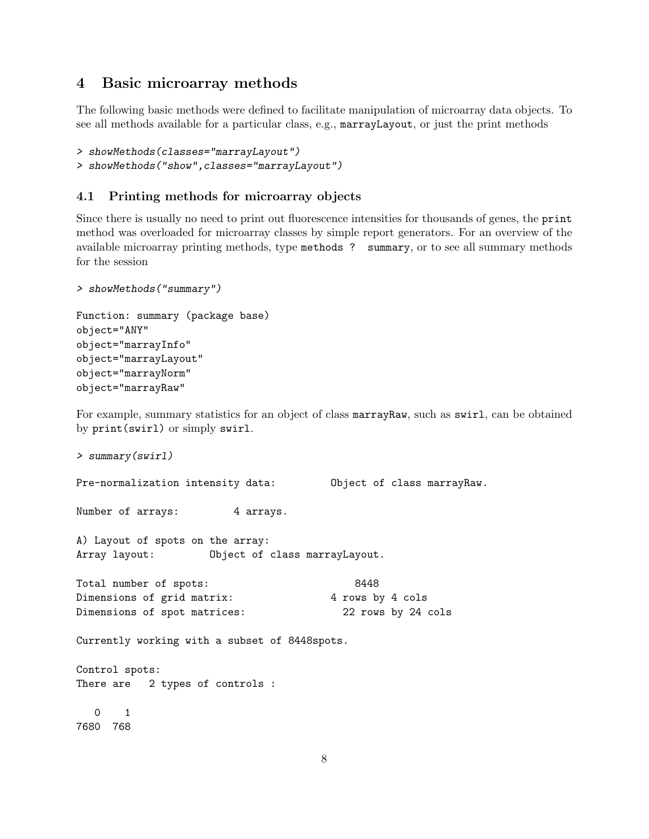### <span id="page-7-0"></span>4 Basic microarray methods

The following basic methods were defined to facilitate manipulation of microarray data objects. To see all methods available for a particular class, e.g., marrayLayout, or just the print methods

```
> showMethods(classes="marrayLayout")
> showMethods("show",classes="marrayLayout")
```
### <span id="page-7-1"></span>4.1 Printing methods for microarray objects

Since there is usually no need to print out fluorescence intensities for thousands of genes, the print method was overloaded for microarray classes by simple report generators. For an overview of the available microarray printing methods, type methods ? summary, or to see all summary methods for the session

```
> showMethods("summary")
```

```
Function: summary (package base)
object="ANY"
object="marrayInfo"
object="marrayLayout"
object="marrayNorm"
object="marrayRaw"
```
For example, summary statistics for an object of class marrayRaw, such as swirl, can be obtained by print(swirl) or simply swirl.

```
> summary(swirl)
```
Pre-normalization intensity data: Object of class marrayRaw.

Number of arrays: 4 arrays.

A) Layout of spots on the array: Array layout: Object of class marrayLayout.

```
Total number of spots: 8448
Dimensions of grid matrix: 4 rows by 4 cols
Dimensions of spot matrices: 22 rows by 24 cols
```
Currently working with a subset of 8448spots.

Control spots: There are 2 types of controls :

0 1 7680 768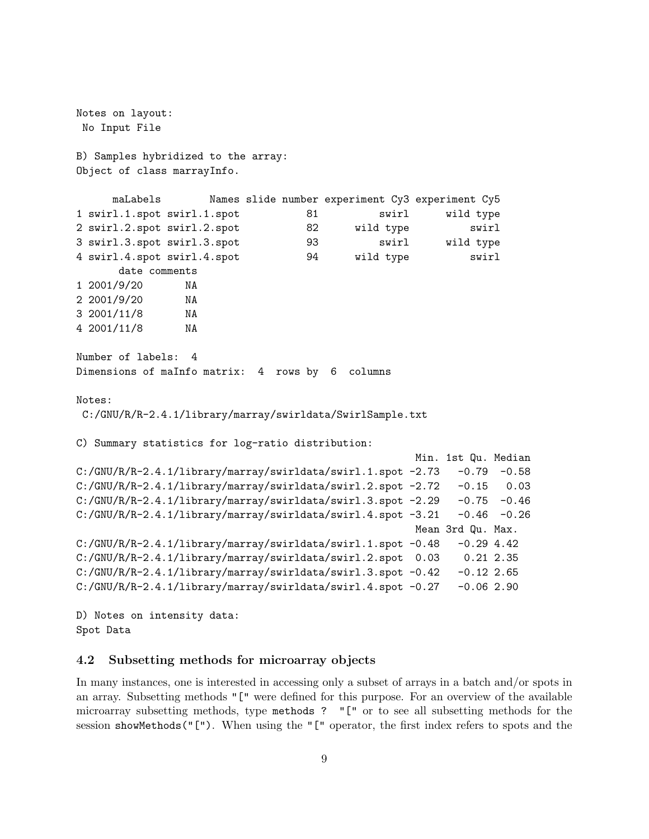Notes on layout: No Input File B) Samples hybridized to the array: Object of class marrayInfo. maLabels Names slide number experiment Cy3 experiment Cy5 1 swirl.1.spot swirl.1.spot 81 swirl wild type 2 swirl.2.spot swirl.2.spot 82 wild type swirl 3 swirl.3.spot swirl.3.spot 93 swirl wild type 4 swirl.4.spot swirl.4.spot 94 wild type swirl date comments 1 2001/9/20 NA 2 2001/9/20 NA 3 2001/11/8 NA 4 2001/11/8 NA Number of labels: 4 Dimensions of maInfo matrix: 4 rows by 6 columns Notes: C:/GNU/R/R-2.4.1/library/marray/swirldata/SwirlSample.txt C) Summary statistics for log-ratio distribution: Min. 1st Qu. Median C:/GNU/R/R-2.4.1/library/marray/swirldata/swirl.1.spot -2.73 -0.79 -0.58 C:/GNU/R/R-2.4.1/library/marray/swirldata/swirl.2.spot -2.72 -0.15 0.03 C:/GNU/R/R-2.4.1/library/marray/swirldata/swirl.3.spot -2.29 -0.75 -0.46 C:/GNU/R/R-2.4.1/library/marray/swirldata/swirl.4.spot -3.21 -0.46 -0.26 Mean 3rd Qu. Max.  $C:/GNU/R/R-2.4.1/library/marray/swirldata/swirl.1.spot -0.48 -0.29 4.42$ C:/GNU/R/R-2.4.1/library/marray/swirldata/swirl.2.spot 0.03 0.21 2.35  $C:/GNU/R/R-2.4.1/library/marray/swirldata/swirl.3.spot -0.42 -0.12 2.65$ C:/GNU/R/R-2.4.1/library/marray/swirldata/swirl.4.spot -0.27 -0.06 2.90

D) Notes on intensity data: Spot Data

#### <span id="page-8-0"></span>4.2 Subsetting methods for microarray objects

In many instances, one is interested in accessing only a subset of arrays in a batch and/or spots in an array. Subsetting methods "[" were defined for this purpose. For an overview of the available microarray subsetting methods, type methods ? "[" or to see all subsetting methods for the session showMethods("["). When using the "[" operator, the first index refers to spots and the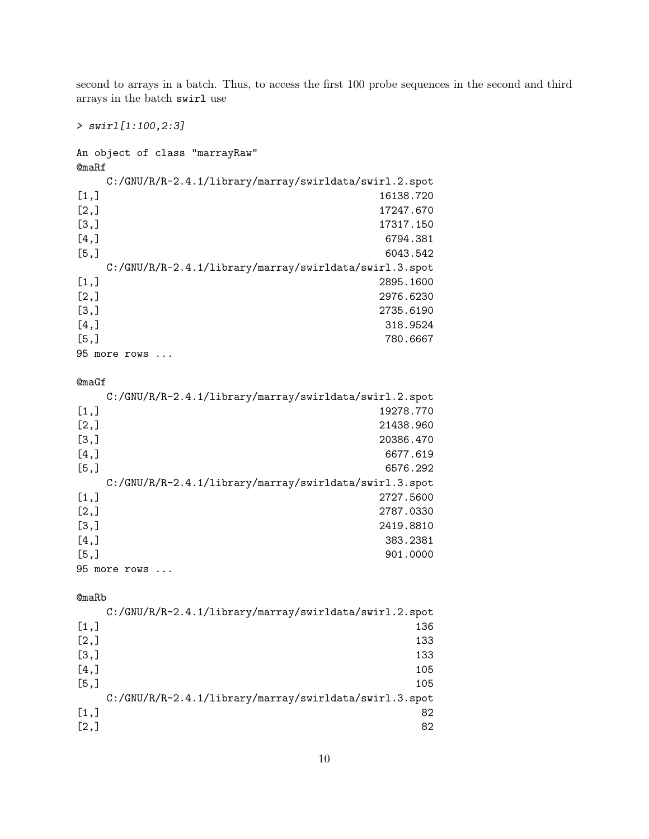second to arrays in a batch. Thus, to access the first 100 probe sequences in the second and third arrays in the batch swirl use

> swirl[1:100,2:3]

An object of class "marrayRaw" @maRf C:/GNU/R/R-2.4.1/library/marray/swirldata/swirl.2.spot [1,] 16138.720 [2,] 17247.670 [3,] 17317.150 [4,] 6794.381 [5,] 6043.542 C:/GNU/R/R-2.4.1/library/marray/swirldata/swirl.3.spot [1,] 2895.1600 [2,] 2976.6230 [3,] 2735.6190 [4,] 318.9524 [5,] 780.6667 95 more rows ... @maGf C:/GNU/R/R-2.4.1/library/marray/swirldata/swirl.2.spot  $[1,]$  19278.770 [2,] 21438.960 [3,] 20386.470 [4,] 6677.619 [5,] 6576.292 C:/GNU/R/R-2.4.1/library/marray/swirldata/swirl.3.spot [1,] 2727.5600 [2,] 2787.0330 [3,] 2419.8810 [4,] 383.2381 [5,] 901.0000 95 more rows ... @maRb C:/GNU/R/R-2.4.1/library/marray/swirldata/swirl.2.spot [1,] 136 [2,] 133 [3,] 133 [4,] 105 [5,] 105 C:/GNU/R/R-2.4.1/library/marray/swirldata/swirl.3.spot [1,] 82  $[2,]$  82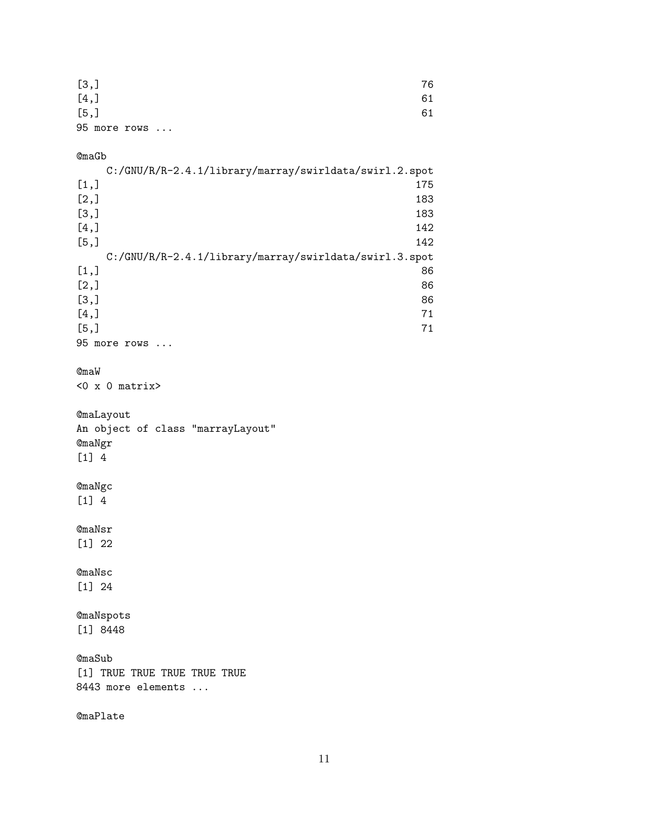| [3,]         | 76 |
|--------------|----|
| [4,          | 61 |
| [5,]         | 61 |
| 95 more rows |    |

#### @maGb

|      | C:/GNU/R/R-2.4.1/library/marray/swirldata/swirl.2.spot |
|------|--------------------------------------------------------|
| [1,] | 175                                                    |
| [2,] | 183                                                    |
| [3,] | 183                                                    |
| [4,] | 142                                                    |
| [5,] | 142                                                    |
|      | C:/GNU/R/R-2.4.1/library/marray/swirldata/swirl.3.spot |
| [1,] | 86                                                     |
| [2,] | 86                                                     |
| [3,] | 86                                                     |
| [4,] | 71                                                     |
| [5,] | 71                                                     |
|      | 95 more rows                                           |

#### @maW

 $<0$  x 0 matrix>

```
@maLayout
An object of class "marrayLayout"
@maNgr
[1] 4
```
## @maNgc [1] 4

@maNsr [1] 22

@maNsc [1] 24

@maNspots [1] 8448

@maSub [1] TRUE TRUE TRUE TRUE TRUE 8443 more elements ...

@maPlate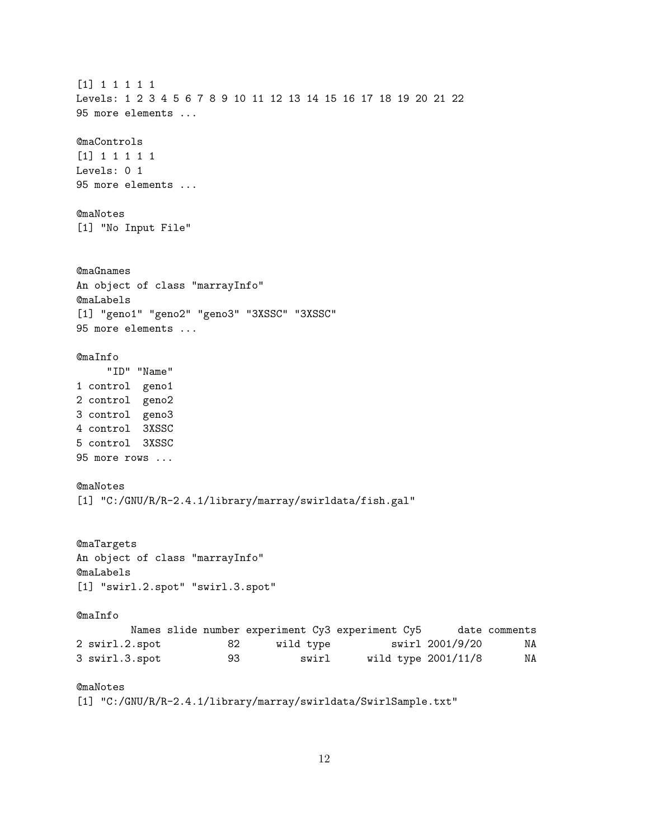[1] 1 1 1 1 1 Levels: 1 2 3 4 5 6 7 8 9 10 11 12 13 14 15 16 17 18 19 20 21 22 95 more elements ... @maControls [1] 1 1 1 1 1 Levels: 0 1 95 more elements ... @maNotes [1] "No Input File" @maGnames An object of class "marrayInfo" @maLabels [1] "geno1" "geno2" "geno3" "3XSSC" "3XSSC" 95 more elements ... @maInfo "ID" "Name" 1 control geno1 2 control geno2 3 control geno3 4 control 3XSSC 5 control 3XSSC 95 more rows ... @maNotes [1] "C:/GNU/R/R-2.4.1/library/marray/swirldata/fish.gal" @maTargets An object of class "marrayInfo" @maLabels [1] "swirl.2.spot" "swirl.3.spot" @maInfo Names slide number experiment Cy3 experiment Cy5 date comments 2 swirl.2.spot 82 wild type swirl 2001/9/20 NA 3 swirl.3.spot 93 swirl wild type 2001/11/8 NA @maNotes [1] "C:/GNU/R/R-2.4.1/library/marray/swirldata/SwirlSample.txt"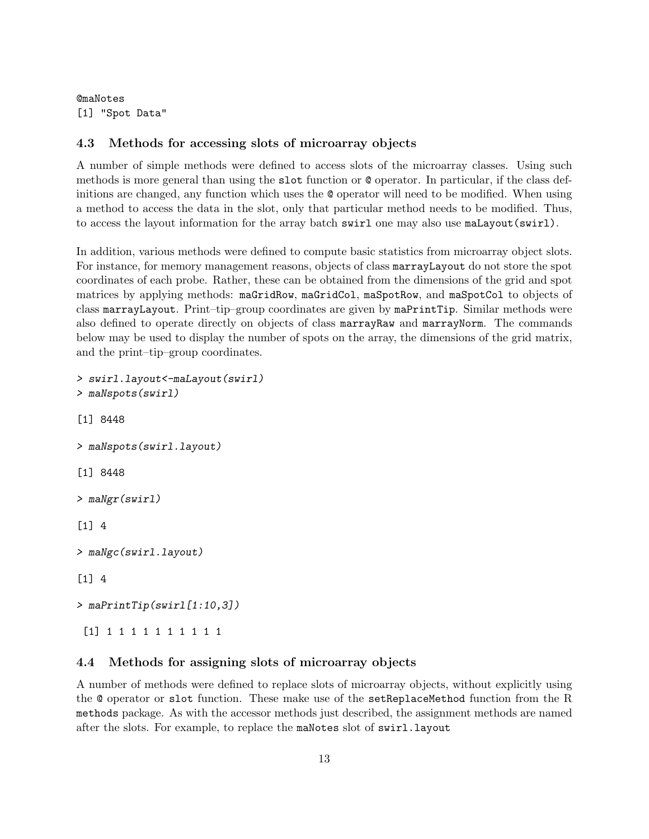@maNotes [1] "Spot Data"

### <span id="page-12-0"></span>4.3 Methods for accessing slots of microarray objects

A number of simple methods were defined to access slots of the microarray classes. Using such methods is more general than using the slot function or @ operator. In particular, if the class definitions are changed, any function which uses the @ operator will need to be modified. When using a method to access the data in the slot, only that particular method needs to be modified. Thus, to access the layout information for the array batch swirl one may also use maLayout(swirl).

In addition, various methods were defined to compute basic statistics from microarray object slots. For instance, for memory management reasons, objects of class marrayLayout do not store the spot coordinates of each probe. Rather, these can be obtained from the dimensions of the grid and spot matrices by applying methods: maGridRow, maGridCol, maSpotRow, and maSpotCol to objects of class marrayLayout. Print–tip–group coordinates are given by maPrintTip. Similar methods were also defined to operate directly on objects of class marrayRaw and marrayNorm. The commands below may be used to display the number of spots on the array, the dimensions of the grid matrix, and the print–tip–group coordinates.

```
> swirl.layout<-maLayout(swirl)
> maNspots(swirl)
[1] 8448
> maNspots(swirl.layout)
[1] 8448
> maNgr(swirl)
[1] 4
> maNgc(swirl.layout)
[1] 4
> maPrintTip(swirl[1:10,3])
 [1] 1 1 1 1 1 1 1 1 1 1
```
### <span id="page-12-1"></span>4.4 Methods for assigning slots of microarray objects

A number of methods were defined to replace slots of microarray objects, without explicitly using the @ operator or slot function. These make use of the setReplaceMethod function from the R methods package. As with the accessor methods just described, the assignment methods are named after the slots. For example, to replace the maNotes slot of swirl.layout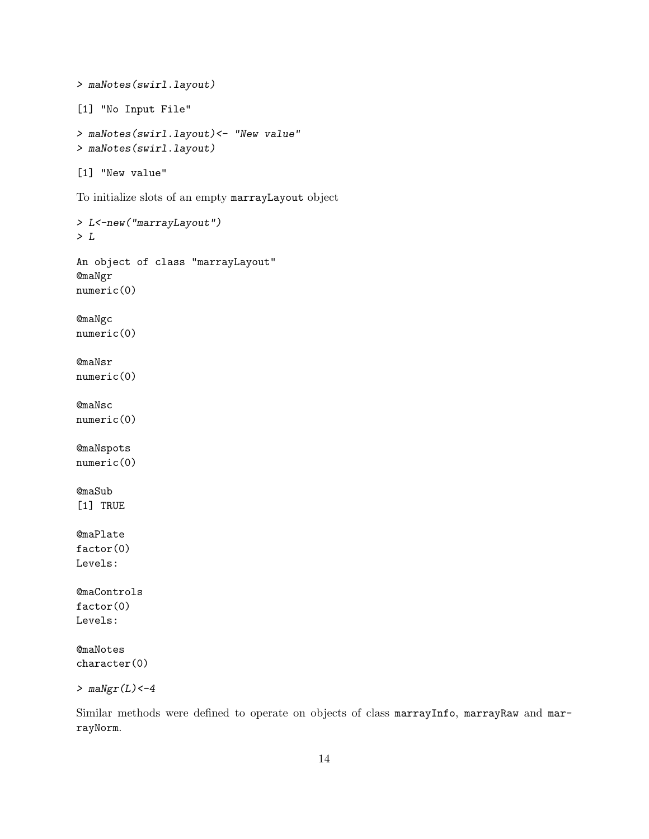```
> maNotes(swirl.layout)
[1] "No Input File"
> maNotes(swirl.layout)<- "New value"
> maNotes(swirl.layout)
[1] "New value"
To initialize slots of an empty marrayLayout object
> L<-new("marrayLayout")
> L
An object of class "marrayLayout"
@maNgr
numeric(0)
@maNgc
numeric(0)
@maNsr
numeric(0)
@maNsc
numeric(0)
@maNspots
numeric(0)
@maSub
[1] TRUE
@maPlate
factor(0)
Levels:
@maControls
factor(0)
Levels:
@maNotes
character(0)
> m\text{a}Ngr(L) <-4
```
Similar methods were defined to operate on objects of class marrayInfo, marrayRaw and marrayNorm.